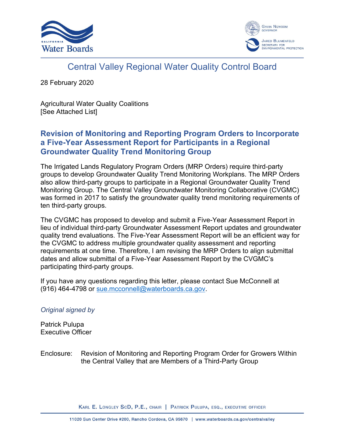



# Central Valley Regional Water Quality Control Board

28 February 2020

Agricultural Water Quality Coalitions [See Attached List]

## **Revision of Monitoring and Reporting Program Orders to Incorporate a Five-Year Assessment Report for Participants in a Regional Groundwater Quality Trend Monitoring Group**

The Irrigated Lands Regulatory Program Orders (MRP Orders) require third-party groups to develop Groundwater Quality Trend Monitoring Workplans. The MRP Orders also allow third-party groups to participate in a Regional Groundwater Quality Trend Monitoring Group. The Central Valley Groundwater Monitoring Collaborative (CVGMC) was formed in 2017 to satisfy the groundwater quality trend monitoring requirements of ten third-party groups.

The CVGMC has proposed to develop and submit a Five-Year Assessment Report in lieu of individual third-party Groundwater Assessment Report updates and groundwater quality trend evaluations. The Five-Year Assessment Report will be an efficient way for the CVGMC to address multiple groundwater quality assessment and reporting requirements at one time. Therefore, I am revising the MRP Orders to align submittal dates and allow submittal of a Five-Year Assessment Report by the CVGMC's participating third-party groups.

If you have any questions regarding this letter, please contact Sue McConnell at (916) 464-4798 or [sue.mcconnell@waterboards.ca.gov](mailto:sue.mcconnell@waterboards.ca.gov).

#### *Original signed by*

Patrick Pulupa Executive Officer

Enclosure: [Revision of Monitoring and Reporting Program Order for Growers Within](#page-2-0) the Central Valley that are Members of a Third-Party Group

KARL E. LONGLEY SCD, P.E., CHAIR | PATRICK PULUPA, ESQ., EXECUTIVE OFFICER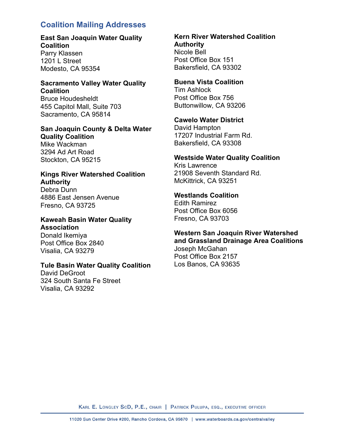#### **Coalition Mailing Addresses**

#### **East San Joaquin Water Quality Coalition**

Parry Klassen 1201 L Street Modesto, CA 95354

#### **Sacramento Valley Water Quality Coalition**

Bruce Houdesheldt 455 Capitol Mall, Suite 703 Sacramento, CA 95814

#### **San Joaquin County & Delta Water Quality Coalition** Mike Wackman

3294 Ad Art Road Stockton, CA 95215

#### **Kings River Watershed Coalition Authority**

Debra Dunn 4886 East Jensen Avenue Fresno, CA 93725

#### **Kaweah Basin Water Quality Association**

Donald Ikemiya Post Office Box 2840 Visalia, CA 93279

#### **Tule Basin Water Quality Coalition**

David DeGroot 324 South Santa Fe Street Visalia, CA 93292

#### **Kern River Watershed Coalition Authority** Nicole Bell Post Office Box 151 Bakersfield, CA 93302

#### **Buena Vista Coalition**

Tim Ashlock Post Office Box 756 Buttonwillow, CA 93206

#### **Cawelo Water District**

David Hampton 17207 Industrial Farm Rd. Bakersfield, CA 93308

#### **Westside Water Quality Coalition**

Kris Lawrence 21908 Seventh Standard Rd. McKittrick, CA 93251

#### **Westlands Coalition**

Edith Ramirez Post Office Box 6056 Fresno, CA 93703

#### **Western San Joaquin River Watershed and Grassland Drainage Area Coalitions**

Joseph McGahan Post Office Box 2157 Los Banos, CA 93635

KARL E. LONGLEY SCD, P.E., CHAIR | PATRICK PULUPA, ESQ., EXECUTIVE OFFICER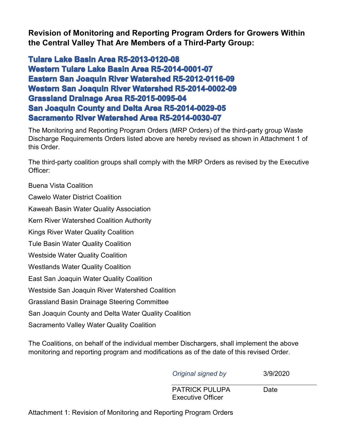<span id="page-2-0"></span>**Revision of Monitoring and Reporting Program Orders for Growers Within the Central Valley That Are Members of a Third-Party Group:**

**Tulare Lake Basin Area R5-2013-0120-08 Western Tulare Lake Basin Area R5-2014-0001-07 Eastern San Joaquin River Watershed R5-2012-0116-09 Western San Joaquin River Watershed R5-2014-0002-09 Grassland Drainage Area R5-2015-0095-04 San Joaquin County and Delta Area R5-2014-0029-05 Sacramento River Watershed Area R5-2014-0030-07**

The Monitoring and Reporting Program Orders (MRP Orders) of the third-party group Waste Discharge Requirements Orders listed above are hereby revised as shown in Attachment 1 of this Order.

The third-party coalition groups shall comply with the MRP Orders as revised by the Executive Officer:

Buena Vista Coalition

Cawelo Water District Coalition

Kaweah Basin Water Quality Association

Kern River Watershed Coalition Authority

Kings River Water Quality Coalition

Tule Basin Water Quality Coalition

Westside Water Quality Coalition

Westlands Water Quality Coalition

East San Joaquin Water Quality Coalition

Westside San Joaquin River Watershed Coalition

Grassland Basin Drainage Steering Committee

San Joaquin County and Delta Water Quality Coalition

Sacramento Valley Water Quality Coalition

The Coalitions, on behalf of the individual member Dischargers, shall implement the above monitoring and reporting program and modifications as of the date of this revised Order.

*Original signed by* 3/9/2020

PATRICK PULUPA Date Executive Officer

[Attachment 1: Revision of Monitoring and Reporting Program Orders](#page-3-0)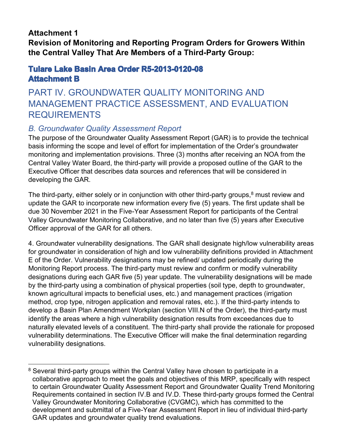## <span id="page-3-0"></span>**Attachment 1**

**Revision of Monitoring and Reporting Program Orders for Growers Within the Central Valley That Are Members of a Third-Party Group:**

## **Tulare Lake Basin Area Order R5-2013-0120-08 Attachment B**

## PART IV. GROUNDWATER QUALITY MONITORING AND MANAGEMENT PRACTICE ASSESSMENT, AND EVALUATION REQUIREMENTS

## *B. Groundwater Quality Assessment Report*

The purpose of the Groundwater Quality Assessment Report (GAR) is to provide the technical basis informing the scope and level of effort for implementation of the Order's groundwater monitoring and implementation provisions. Three (3) months after receiving an NOA from the Central Valley Water Board, the third-party will provide a proposed outline of the GAR to the Executive Officer that describes data sources and references that will be considered in developing the GAR.

The third-party, either solely or in conjunction with other third-party groups, $8 \text{ must review}$  $8 \text{ must review}$  and update the GAR to incorporate new information every five (5) years. The first update shall be due 30 November 2021 in the Five-Year Assessment Report for participants of the Central Valley Groundwater Monitoring Collaborative, and no later than five (5) years after Executive Officer approval of the GAR for all others.

4. Groundwater vulnerability designations. The GAR shall designate high/low vulnerability areas for groundwater in consideration of high and low vulnerability definitions provided in Attachment E of the Order. Vulnerability designations may be refined/ updated periodically during the Monitoring Report process. The third-party must review and confirm or modify vulnerability designations during each GAR five (5) year update. The vulnerability designations will be made by the third-party using a combination of physical properties (soil type, depth to groundwater, known agricultural impacts to beneficial uses, etc.) and management practices (irrigation method, crop type, nitrogen application and removal rates, etc.). If the third-party intends to develop a Basin Plan Amendment Workplan (section VIII.N of the Order), the third-party must identify the areas where a high vulnerability designation results from exceedances due to naturally elevated levels of a constituent. The third-party shall provide the rationale for proposed vulnerability determinations. The Executive Officer will make the final determination regarding vulnerability designations.

<span id="page-3-1"></span><sup>&</sup>lt;sup>8</sup> Several third-party groups within the Central Valley have chosen to participate in a collaborative approach to meet the goals and objectives of this MRP, specifically with respect to certain Groundwater Quality Assessment Report and Groundwater Quality Trend Monitoring Requirements contained in section IV.B and IV.D. These third-party groups formed the Central Valley Groundwater Monitoring Collaborative (CVGMC), which has committed to the development and submittal of a Five-Year Assessment Report in lieu of individual third-party GAR updates and groundwater quality trend evaluations.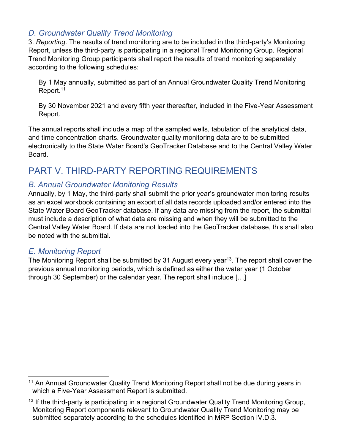## *D. Groundwater Quality Trend Monitoring*

3. *Reporting*. The results of trend monitoring are to be included in the third-party's Monitoring Report, unless the third-party is participating in a regional Trend Monitoring Group. Regional Trend Monitoring Group participants shall report the results of trend monitoring separately according to the following schedules:

By 1 May annually, submitted as part of an Annual Groundwater Quality Trend Monitoring Report.<sup>[11](#page-4-0)</sup>

By 30 November 2021 and every fifth year thereafter, included in the Five-Year Assessment Report.

The annual reports shall include a map of the sampled wells, tabulation of the analytical data, and time concentration charts. Groundwater quality monitoring data are to be submitted electronically to the State Water Board's GeoTracker Database and to the Central Valley Water Board.

# PART V. THIRD-PARTY REPORTING REQUIREMENTS

## *B. Annual Groundwater Monitoring Results*

Annually, by 1 May, the third-party shall submit the prior year's groundwater monitoring results as an excel workbook containing an export of all data records uploaded and/or entered into the State Water Board GeoTracker database. If any data are missing from the report, the submittal must include a description of what data are missing and when they will be submitted to the Central Valley Water Board. If data are not loaded into the GeoTracker database, this shall also be noted with the submittal.

## *E. Monitoring Report*

The Monitoring Report shall be submitted by 31 August every year<sup>[13](#page-4-1)</sup>. The report shall cover the previous annual monitoring periods, which is defined as either the water year (1 October through 30 September) or the calendar year. The report shall include […]

<span id="page-4-0"></span><sup>&</sup>lt;sup>11</sup> An Annual Groundwater Quality Trend Monitoring Report shall not be due during years in which a Five-Year Assessment Report is submitted.

<span id="page-4-1"></span> $13$  If the third-party is participating in a regional Groundwater Quality Trend Monitoring Group, Monitoring Report components relevant to Groundwater Quality Trend Monitoring may be submitted separately according to the schedules identified in MRP Section IV.D.3.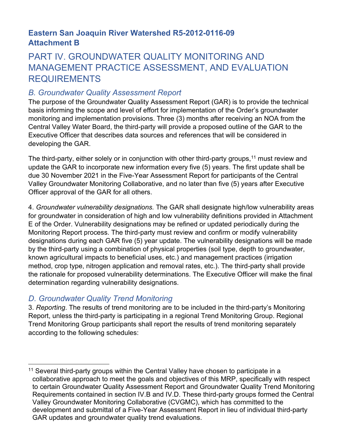## **Eastern San Joaquin River Watershed R5-2012-0116-09 Attachment B**

# PART IV. GROUNDWATER QUALITY MONITORING AND MANAGEMENT PRACTICE ASSESSMENT, AND EVALUATION REQUIREMENTS

## *B. Groundwater Quality Assessment Report*

The purpose of the Groundwater Quality Assessment Report (GAR) is to provide the technical basis informing the scope and level of effort for implementation of the Order's groundwater monitoring and implementation provisions. Three (3) months after receiving an NOA from the Central Valley Water Board, the third-party will provide a proposed outline of the GAR to the Executive Officer that describes data sources and references that will be considered in developing the GAR.

The third-party, either solely or in conjunction with other third-party groups,<sup>[11](#page-5-0)</sup> must review and update the GAR to incorporate new information every five (5) years. The first update shall be due 30 November 2021 in the Five-Year Assessment Report for participants of the Central Valley Groundwater Monitoring Collaborative, and no later than five (5) years after Executive Officer approval of the GAR for all others.

4. *Groundwater vulnerability designations.* The GAR shall designate high/low vulnerability areas for groundwater in consideration of high and low vulnerability definitions provided in Attachment E of the Order. Vulnerability designations may be refined or updated periodically during the Monitoring Report process. The third-party must review and confirm or modify vulnerability designations during each GAR five (5) year update. The vulnerability designations will be made by the third-party using a combination of physical properties (soil type, depth to groundwater, known agricultural impacts to beneficial uses, etc.) and management practices (irrigation method, crop type, nitrogen application and removal rates, etc.). The third-party shall provide the rationale for proposed vulnerability determinations. The Executive Officer will make the final determination regarding vulnerability designations.

## *D. Groundwater Quality Trend Monitoring*

3. *Reporting*. The results of trend monitoring are to be included in the third-party's Monitoring Report, unless the third-party is participating in a regional Trend Monitoring Group. Regional Trend Monitoring Group participants shall report the results of trend monitoring separately according to the following schedules:

<span id="page-5-0"></span><sup>&</sup>lt;sup>11</sup> Several third-party groups within the Central Valley have chosen to participate in a collaborative approach to meet the goals and objectives of this MRP, specifically with respect to certain Groundwater Quality Assessment Report and Groundwater Quality Trend Monitoring Requirements contained in section IV.B and IV.D. These third-party groups formed the Central Valley Groundwater Monitoring Collaborative (CVGMC), which has committed to the development and submittal of a Five-Year Assessment Report in lieu of individual third-party GAR updates and groundwater quality trend evaluations.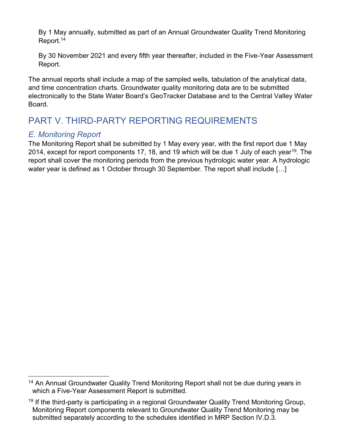By 1 May annually, submitted as part of an Annual Groundwater Quality Trend Monitoring Report.[14](#page-6-0)

By 30 November 2021 and every fifth year thereafter, included in the Five-Year Assessment Report.

The annual reports shall include a map of the sampled wells, tabulation of the analytical data, and time concentration charts. Groundwater quality monitoring data are to be submitted electronically to the State Water Board's GeoTracker Database and to the Central Valley Water **Board** 

# PART V. THIRD-PARTY REPORTING REQUIREMENTS

## *E. Monitoring Report*

The Monitoring Report shall be submitted by 1 May every year, with the first report due 1 May 2014, except for report components 17, 18, and [19](#page-6-1) which will be due 1 July of each year<sup>19</sup>. The report shall cover the monitoring periods from the previous hydrologic water year. A hydrologic water year is defined as 1 October through 30 September. The report shall include […]

<span id="page-6-0"></span><sup>&</sup>lt;sup>14</sup> An Annual Groundwater Quality Trend Monitoring Report shall not be due during years in which a Five-Year Assessment Report is submitted.

<span id="page-6-1"></span><sup>&</sup>lt;sup>19</sup> If the third-party is participating in a regional Groundwater Quality Trend Monitoring Group, Monitoring Report components relevant to Groundwater Quality Trend Monitoring may be submitted separately according to the schedules identified in MRP Section IV.D.3.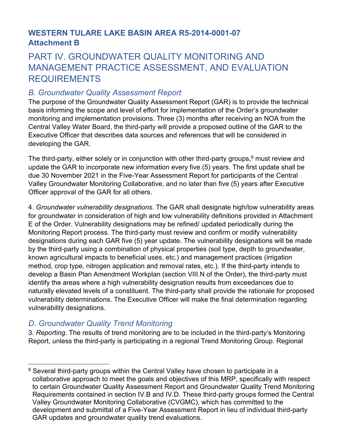## **WESTERN TULARE LAKE BASIN AREA R5-2014-0001-07 Attachment B**

# PART IV. GROUNDWATER QUALITY MONITORING AND MANAGEMENT PRACTICE ASSESSMENT, AND EVALUATION REQUIREMENTS

## *B. Groundwater Quality Assessment Report*

The purpose of the Groundwater Quality Assessment Report (GAR) is to provide the technical basis informing the scope and level of effort for implementation of the Order's groundwater monitoring and implementation provisions. Three (3) months after receiving an NOA from the Central Valley Water Board, the third-party will provide a proposed outline of the GAR to the Executive Officer that describes data sources and references that will be considered in developing the GAR.

The third-party, either solely or in conjunction with other third-party groups, $8 \text{ must review}$  $8 \text{ must review}$  and update the GAR to incorporate new information every five (5) years. The first update shall be due 30 November 2021 in the Five-Year Assessment Report for participants of the Central Valley Groundwater Monitoring Collaborative, and no later than five (5) years after Executive Officer approval of the GAR for all others.

4. *Groundwater vulnerability designations.* The GAR shall designate high/low vulnerability areas for groundwater in consideration of high and low vulnerability definitions provided in Attachment E of the Order. Vulnerability designations may be refined/ updated periodically during the Monitoring Report process. The third-party must review and confirm or modify vulnerability designations during each GAR five (5) year update. The vulnerability designations will be made by the third-party using a combination of physical properties (soil type, depth to groundwater, known agricultural impacts to beneficial uses, etc.) and management practices (irrigation method, crop type, nitrogen application and removal rates, etc.). If the third-party intends to develop a Basin Plan Amendment Workplan (section VIII.N of the Order), the third-party must identify the areas where a high vulnerability designation results from exceedances due to naturally elevated levels of a constituent. The third-party shall provide the rationale for proposed vulnerability determinations. The Executive Officer will make the final determination regarding vulnerability designations.

## *D. Groundwater Quality Trend Monitoring*

<span id="page-7-0"></span><sup>&</sup>lt;sup>8</sup> Several third-party groups within the Central Valley have chosen to participate in a collaborative approach to meet the goals and objectives of this MRP, specifically with respect to certain Groundwater Quality Assessment Report and Groundwater Quality Trend Monitoring Requirements contained in section IV.B and IV.D. These third-party groups formed the Central Valley Groundwater Monitoring Collaborative (CVGMC), which has committed to the development and submittal of a Five-Year Assessment Report in lieu of individual third-party GAR updates and groundwater quality trend evaluations.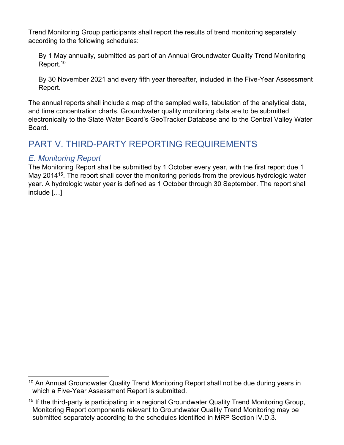By 1 May annually, submitted as part of an Annual Groundwater Quality Trend Monitoring Report.<sup>[10](#page-8-0)</sup>

By 30 November 2021 and every fifth year thereafter, included in the Five-Year Assessment Report.

The annual reports shall include a map of the sampled wells, tabulation of the analytical data, and time concentration charts. Groundwater quality monitoring data are to be submitted electronically to the State Water Board's GeoTracker Database and to the Central Valley Water Board.

# PART V. THIRD-PARTY REPORTING REQUIREMENTS

## *E. Monitoring Report*

The Monitoring Report shall be submitted by 1 October every year, with the first report due 1 May 2014<sup>[15](#page-8-1)</sup>. The report shall cover the monitoring periods from the previous hydrologic water year. A hydrologic water year is defined as 1 October through 30 September. The report shall include […]

<span id="page-8-0"></span><sup>&</sup>lt;sup>10</sup> An Annual Groundwater Quality Trend Monitoring Report shall not be due during years in which a Five-Year Assessment Report is submitted.

<span id="page-8-1"></span><sup>&</sup>lt;sup>15</sup> If the third-party is participating in a regional Groundwater Quality Trend Monitoring Group, Monitoring Report components relevant to Groundwater Quality Trend Monitoring may be submitted separately according to the schedules identified in MRP Section IV.D.3.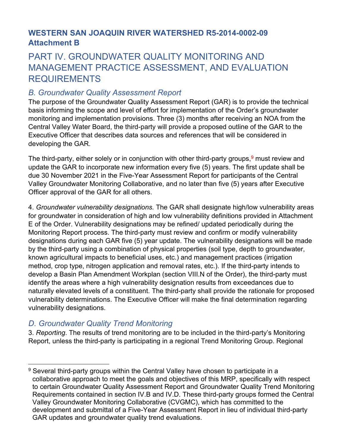## **WESTERN SAN JOAQUIN RIVER WATERSHED R5-2014-0002-09 Attachment B**

# PART IV. GROUNDWATER QUALITY MONITORING AND MANAGEMENT PRACTICE ASSESSMENT, AND EVALUATION REQUIREMENTS

## *B. Groundwater Quality Assessment Report*

The purpose of the Groundwater Quality Assessment Report (GAR) is to provide the technical basis informing the scope and level of effort for implementation of the Order's groundwater monitoring and implementation provisions. Three (3) months after receiving an NOA from the Central Valley Water Board, the third-party will provide a proposed outline of the GAR to the Executive Officer that describes data sources and references that will be considered in developing the GAR.

The third-party, either solely or in conjunction with other third-party groups,  $9$  must review and update the GAR to incorporate new information every five (5) years. The first update shall be due 30 November 2021 in the Five-Year Assessment Report for participants of the Central Valley Groundwater Monitoring Collaborative, and no later than five (5) years after Executive Officer approval of the GAR for all others.

4. *Groundwater vulnerability designations.* The GAR shall designate high/low vulnerability areas for groundwater in consideration of high and low vulnerability definitions provided in Attachment E of the Order. Vulnerability designations may be refined/ updated periodically during the Monitoring Report process. The third-party must review and confirm or modify vulnerability designations during each GAR five (5) year update. The vulnerability designations will be made by the third-party using a combination of physical properties (soil type, depth to groundwater, known agricultural impacts to beneficial uses, etc.) and management practices (irrigation method, crop type, nitrogen application and removal rates, etc.). If the third-party intends to develop a Basin Plan Amendment Workplan (section VIII.N of the Order), the third-party must identify the areas where a high vulnerability designation results from exceedances due to naturally elevated levels of a constituent. The third-party shall provide the rationale for proposed vulnerability determinations. The Executive Officer will make the final determination regarding vulnerability designations.

## *D. Groundwater Quality Trend Monitoring*

<span id="page-9-0"></span><sup>9</sup> Several third-party groups within the Central Valley have chosen to participate in a collaborative approach to meet the goals and objectives of this MRP, specifically with respect to certain Groundwater Quality Assessment Report and Groundwater Quality Trend Monitoring Requirements contained in section IV.B and IV.D. These third-party groups formed the Central Valley Groundwater Monitoring Collaborative (CVGMC), which has committed to the development and submittal of a Five-Year Assessment Report in lieu of individual third-party GAR updates and groundwater quality trend evaluations.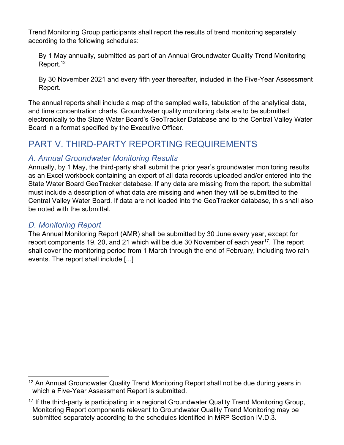By 1 May annually, submitted as part of an Annual Groundwater Quality Trend Monitoring Report.<sup>[12](#page-10-0)</sup>

By 30 November 2021 and every fifth year thereafter, included in the Five-Year Assessment Report.

The annual reports shall include a map of the sampled wells, tabulation of the analytical data, and time concentration charts. Groundwater quality monitoring data are to be submitted electronically to the State Water Board's GeoTracker Database and to the Central Valley Water Board in a format specified by the Executive Officer.

# PART V. THIRD-PARTY REPORTING REQUIREMENTS

## *A. Annual Groundwater Monitoring Results*

Annually, by 1 May, the third-party shall submit the prior year's groundwater monitoring results as an Excel workbook containing an export of all data records uploaded and/or entered into the State Water Board GeoTracker database. If any data are missing from the report, the submittal must include a description of what data are missing and when they will be submitted to the Central Valley Water Board. If data are not loaded into the GeoTracker database, this shall also be noted with the submittal.

## *D. Monitoring Report*

The Annual Monitoring Report (AMR) shall be submitted by 30 June every year, except for report components 19, 20, and 21 which will be due 30 November of each year<sup>[17](#page-10-1)</sup>. The report shall cover the monitoring period from 1 March through the end of February, including two rain events. The report shall include [...]

<span id="page-10-0"></span><sup>&</sup>lt;sup>12</sup> An Annual Groundwater Quality Trend Monitoring Report shall not be due during years in which a Five-Year Assessment Report is submitted.

<span id="page-10-1"></span> $17$  If the third-party is participating in a regional Groundwater Quality Trend Monitoring Group, Monitoring Report components relevant to Groundwater Quality Trend Monitoring may be submitted separately according to the schedules identified in MRP Section IV.D.3.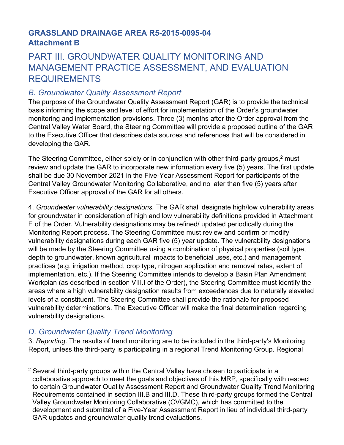## **GRASSLAND DRAINAGE AREA R5-2015-0095-04 Attachment B**

# PART III. GROUNDWATER QUALITY MONITORING AND MANAGEMENT PRACTICE ASSESSMENT, AND EVALUATION REQUIREMENTS

## *B. Groundwater Quality Assessment Report*

The purpose of the Groundwater Quality Assessment Report (GAR) is to provide the technical basis informing the scope and level of effort for implementation of the Order's groundwater monitoring and implementation provisions. Three (3) months after the Order approval from the Central Valley Water Board, the Steering Committee will provide a proposed outline of the GAR to the Executive Officer that describes data sources and references that will be considered in developing the GAR.

The Steering Committee, either solely or in conjunction with other third-party groups,<sup>[2](#page-11-0)</sup> must review and update the GAR to incorporate new information every five (5) years. The first update shall be due 30 November 2021 in the Five-Year Assessment Report for participants of the Central Valley Groundwater Monitoring Collaborative, and no later than five (5) years after Executive Officer approval of the GAR for all others.

4. *Groundwater vulnerability designations.* The GAR shall designate high/low vulnerability areas for groundwater in consideration of high and low vulnerability definitions provided in Attachment E of the Order. Vulnerability designations may be refined/ updated periodically during the Monitoring Report process. The Steering Committee must review and confirm or modify vulnerability designations during each GAR five (5) year update. The vulnerability designations will be made by the Steering Committee using a combination of physical properties (soil type, depth to groundwater, known agricultural impacts to beneficial uses, etc.) and management practices (e.g. irrigation method, crop type, nitrogen application and removal rates, extent of implementation, etc.). If the Steering Committee intends to develop a Basin Plan Amendment Workplan (as described in section VIII.I of the Order), the Steering Committee must identify the areas where a high vulnerability designation results from exceedances due to naturally elevated levels of a constituent. The Steering Committee shall provide the rationale for proposed vulnerability determinations. The Executive Officer will make the final determination regarding vulnerability designations.

## *D. Groundwater Quality Trend Monitoring*

<span id="page-11-0"></span><sup>&</sup>lt;sup>2</sup> Several third-party groups within the Central Valley have chosen to participate in a collaborative approach to meet the goals and objectives of this MRP, specifically with respect to certain Groundwater Quality Assessment Report and Groundwater Quality Trend Monitoring Requirements contained in section III.B and III.D. These third-party groups formed the Central Valley Groundwater Monitoring Collaborative (CVGMC), which has committed to the development and submittal of a Five-Year Assessment Report in lieu of individual third-party GAR updates and groundwater quality trend evaluations.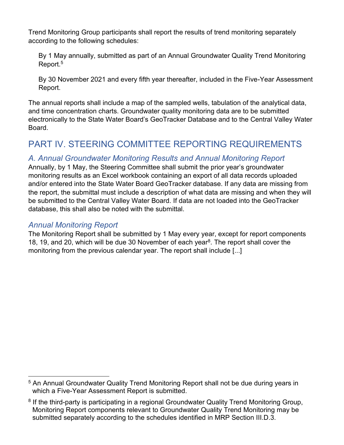By 1 May annually, submitted as part of an Annual Groundwater Quality Trend Monitoring Report.<sup>[5](#page-12-0)</sup>

By 30 November 2021 and every fifth year thereafter, included in the Five-Year Assessment Report.

The annual reports shall include a map of the sampled wells, tabulation of the analytical data, and time concentration charts. Groundwater quality monitoring data are to be submitted electronically to the State Water Board's GeoTracker Database and to the Central Valley Water Board.

# PART IV. STEERING COMMITTEE REPORTING REQUIREMENTS

## *A. Annual Groundwater Monitoring Results and Annual Monitoring Report*

Annually, by 1 May, the Steering Committee shall submit the prior year's groundwater monitoring results as an Excel workbook containing an export of all data records uploaded and/or entered into the State Water Board GeoTracker database. If any data are missing from the report, the submittal must include a description of what data are missing and when they will be submitted to the Central Valley Water Board. If data are not loaded into the GeoTracker database, this shall also be noted with the submittal.

#### *Annual Monitoring Report*

The Monitoring Report shall be submitted by 1 May every year, except for report components 1[8](#page-12-1), 19, and 20, which will be due 30 November of each year<sup>8</sup>. The report shall cover the monitoring from the previous calendar year. The report shall include [...]

<span id="page-12-0"></span><sup>&</sup>lt;sup>5</sup> An Annual Groundwater Quality Trend Monitoring Report shall not be due during years in which a Five-Year Assessment Report is submitted.

<span id="page-12-1"></span><sup>&</sup>lt;sup>8</sup> If the third-party is participating in a regional Groundwater Quality Trend Monitoring Group, Monitoring Report components relevant to Groundwater Quality Trend Monitoring may be submitted separately according to the schedules identified in MRP Section III.D.3.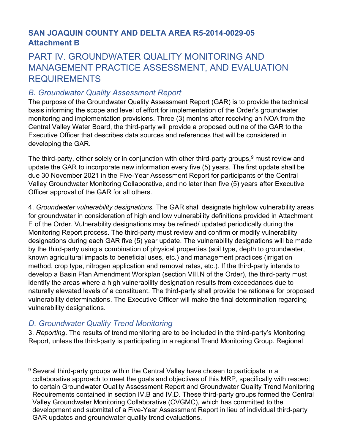## **SAN JOAQUIN COUNTY AND DELTA AREA R5-2014-0029-05 Attachment B**

# PART IV. GROUNDWATER QUALITY MONITORING AND MANAGEMENT PRACTICE ASSESSMENT, AND EVALUATION REQUIREMENTS

## *B. Groundwater Quality Assessment Report*

The purpose of the Groundwater Quality Assessment Report (GAR) is to provide the technical basis informing the scope and level of effort for implementation of the Order's groundwater monitoring and implementation provisions. Three (3) months after receiving an NOA from the Central Valley Water Board, the third-party will provide a proposed outline of the GAR to the Executive Officer that describes data sources and references that will be considered in developing the GAR.

The third-party, either solely or in conjunction with other third-party groups,  $9$  must review and update the GAR to incorporate new information every five (5) years. The first update shall be due 30 November 2021 in the Five-Year Assessment Report for participants of the Central Valley Groundwater Monitoring Collaborative, and no later than five (5) years after Executive Officer approval of the GAR for all others.

4. *Groundwater vulnerability designations.* The GAR shall designate high/low vulnerability areas for groundwater in consideration of high and low vulnerability definitions provided in Attachment E of the Order. Vulnerability designations may be refined/ updated periodically during the Monitoring Report process. The third-party must review and confirm or modify vulnerability designations during each GAR five (5) year update. The vulnerability designations will be made by the third-party using a combination of physical properties (soil type, depth to groundwater, known agricultural impacts to beneficial uses, etc.) and management practices (irrigation method, crop type, nitrogen application and removal rates, etc.). If the third-party intends to develop a Basin Plan Amendment Workplan (section VIII.N of the Order), the third-party must identify the areas where a high vulnerability designation results from exceedances due to naturally elevated levels of a constituent. The third-party shall provide the rationale for proposed vulnerability determinations. The Executive Officer will make the final determination regarding vulnerability designations.

## *D. Groundwater Quality Trend Monitoring*

<span id="page-13-0"></span><sup>&</sup>lt;sup>9</sup> Several third-party groups within the Central Valley have chosen to participate in a collaborative approach to meet the goals and objectives of this MRP, specifically with respect to certain Groundwater Quality Assessment Report and Groundwater Quality Trend Monitoring Requirements contained in section IV.B and IV.D. These third-party groups formed the Central Valley Groundwater Monitoring Collaborative (CVGMC), which has committed to the development and submittal of a Five-Year Assessment Report in lieu of individual third-party GAR updates and groundwater quality trend evaluations.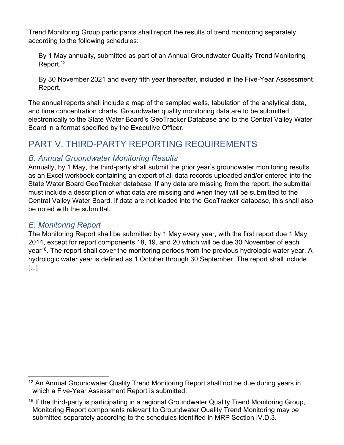By 1 May annually, submitted as part of an Annual Groundwater Quality Trend Monitoring Report.<sup>[12](#page-14-0)</sup>

By 30 November 2021 and every fifth year thereafter, included in the Five-Year Assessment Report.

The annual reports shall include a map of the sampled wells, tabulation of the analytical data, and time concentration charts. Groundwater quality monitoring data are to be submitted electronically to the State Water Board's GeoTracker Database and to the Central Valley Water Board in a format specified by the Executive Officer.

# PART V. THIRD-PARTY REPORTING REQUIREMENTS

## *B. Annual Groundwater Monitoring Results*

Annually, by 1 May, the third-party shall submit the prior year's groundwater monitoring results as an Excel workbook containing an export of all data records uploaded and/or entered into the State Water Board GeoTracker database. If any data are missing from the report, the submittal must include a description of what data are missing and when they will be submitted to the Central Valley Water Board. If data are not loaded into the GeoTracker database, this shall also be noted with the submittal.

## *E. Monitoring Report*

The Monitoring Report shall be submitted by 1 May every year, with the first report due 1 May 2014, except for report components 18, 19, and 20 which will be due 30 November of each year<sup>[18](#page-14-1)</sup>. The report shall cover the monitoring periods from the previous hydrologic water year. A hydrologic water year is defined as 1 October through 30 September. The report shall include [...]

<span id="page-14-0"></span><sup>&</sup>lt;sup>12</sup> An Annual Groundwater Quality Trend Monitoring Report shall not be due during years in which a Five-Year Assessment Report is submitted.

<span id="page-14-1"></span> $18$  If the third-party is participating in a regional Groundwater Quality Trend Monitoring Group, Monitoring Report components relevant to Groundwater Quality Trend Monitoring may be submitted separately according to the schedules identified in MRP Section IV.D.3.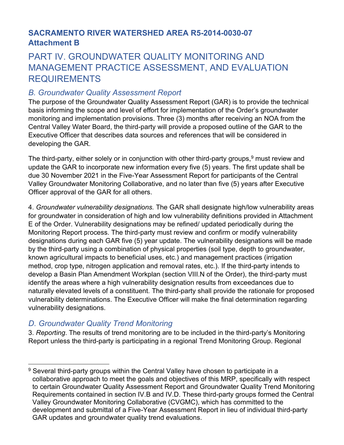## **SACRAMENTO RIVER WATERSHED AREA R5-2014-0030-07 Attachment B**

# PART IV. GROUNDWATER QUALITY MONITORING AND MANAGEMENT PRACTICE ASSESSMENT, AND EVALUATION REQUIREMENTS

## *B. Groundwater Quality Assessment Report*

The purpose of the Groundwater Quality Assessment Report (GAR) is to provide the technical basis informing the scope and level of effort for implementation of the Order's groundwater monitoring and implementation provisions. Three (3) months after receiving an NOA from the Central Valley Water Board, the third-party will provide a proposed outline of the GAR to the Executive Officer that describes data sources and references that will be considered in developing the GAR.

The third-party, either solely or in conjunction with other third-party groups,  $9$  must review and update the GAR to incorporate new information every five (5) years. The first update shall be due 30 November 2021 in the Five-Year Assessment Report for participants of the Central Valley Groundwater Monitoring Collaborative, and no later than five (5) years after Executive Officer approval of the GAR for all others.

4. *Groundwater vulnerability designations.* The GAR shall designate high/low vulnerability areas for groundwater in consideration of high and low vulnerability definitions provided in Attachment E of the Order. Vulnerability designations may be refined/ updated periodically during the Monitoring Report process. The third-party must review and confirm or modify vulnerability designations during each GAR five (5) year update. The vulnerability designations will be made by the third-party using a combination of physical properties (soil type, depth to groundwater, known agricultural impacts to beneficial uses, etc.) and management practices (irrigation method, crop type, nitrogen application and removal rates, etc.). If the third-party intends to develop a Basin Plan Amendment Workplan (section VIII.N of the Order), the third-party must identify the areas where a high vulnerability designation results from exceedances due to naturally elevated levels of a constituent. The third-party shall provide the rationale for proposed vulnerability determinations. The Executive Officer will make the final determination regarding vulnerability designations.

## *D. Groundwater Quality Trend Monitoring*

<span id="page-15-0"></span><sup>&</sup>lt;sup>9</sup> Several third-party groups within the Central Valley have chosen to participate in a collaborative approach to meet the goals and objectives of this MRP, specifically with respect to certain Groundwater Quality Assessment Report and Groundwater Quality Trend Monitoring Requirements contained in section IV.B and IV.D. These third-party groups formed the Central Valley Groundwater Monitoring Collaborative (CVGMC), which has committed to the development and submittal of a Five-Year Assessment Report in lieu of individual third-party GAR updates and groundwater quality trend evaluations.